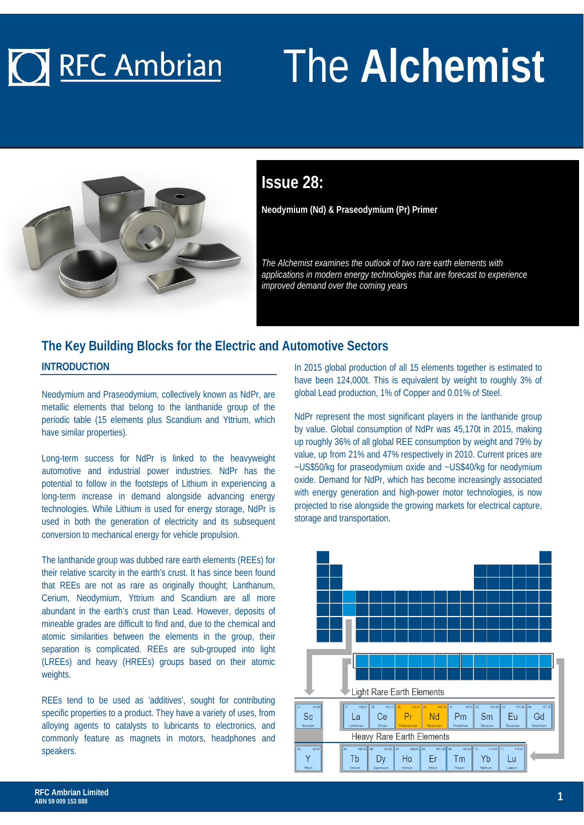# **O** RFC Ambrian

# The **Alchemist**



### **Issue 28:**

**Neodymium (Nd) & Praseodymium (Pr) Primer**

*The Alchemist examines the outlook of two rare earth elements with applications in modern energy technologies that are forecast to experience improved demand over the coming years*

### **The Key Building Blocks for the Electric and Automotive Sectors**

**INTRODUCTION**

Neodymium and Praseodymium, collectively known as NdPr, are metallic elements that belong to the lanthanide group of the periodic table (15 elements plus Scandium and Yttrium, which have similar properties).

Long-term success for NdPr is linked to the heavyweight automotive and industrial power industries. NdPr has the potential to follow in the footsteps of Lithium in experiencing a long-term increase in demand alongside advancing energy technologies. While Lithium is used for energy storage, NdPr is used in both the generation of electricity and its subsequent conversion to mechanical energy for vehicle propulsion.

The lanthanide group was dubbed rare earth elements (REEs) for their relative scarcity in the earth's crust. It has since been found that REEs are not as rare as originally thought; Lanthanum, Cerium, Neodymium, Yttrium and Scandium are all more abundant in the earth's crust than Lead. However, deposits of mineable grades are difficult to find and, due to the chemical and atomic similarities between the elements in the group, their separation is complicated. REEs are sub-grouped into light (LREEs) and heavy (HREEs) groups based on their atomic weights.

REEs tend to be used as 'additives', sought for contributing specific properties to a product. They have a variety of uses, from alloying agents to catalysts to lubricants to electronics, and commonly feature as magnets in motors, headphones and speakers.

In 2015 global production of all 15 elements together is estimated to have been 124,000t. This is equivalent by weight to roughly 3% of global Lead production, 1% of Copper and 0.01% of Steel.

NdPr represent the most significant players in the lanthanide group by value. Global consumption of NdPr was 45,170t in 2015, making up roughly 36% of all global REE consumption by weight and 79% by value, up from 21% and 47% respectively in 2010. Current prices are ~US\$50/kg for praseodymium oxide and ~US\$40/kg for neodymium oxide. Demand for NdPr, which has become increasingly associated with energy generation and high-power motor technologies, is now projected to rise alongside the growing markets for electrical capture, storage and transportation.

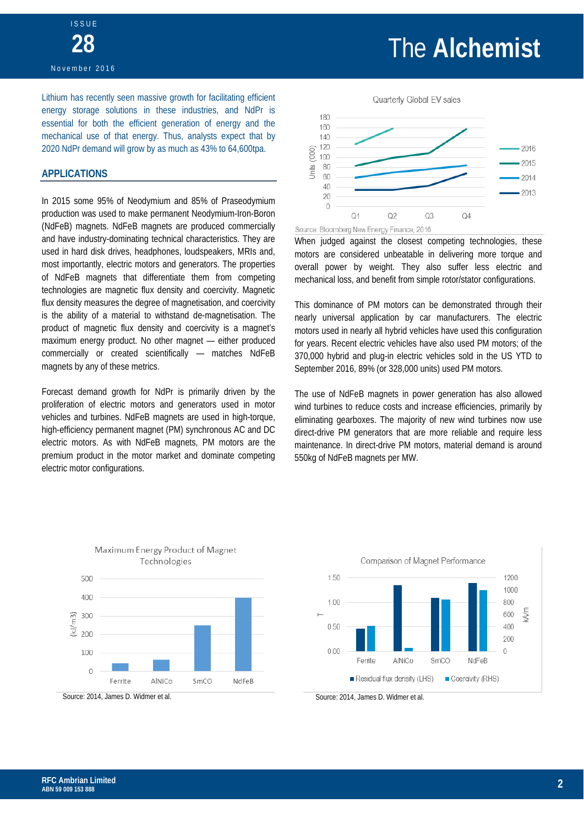### The **Alchemist**

Lithium has recently seen massive growth for facilitating efficient energy storage solutions in these industries, and NdPr is essential for both the efficient generation of energy and the mechanical use of that energy. Thus, analysts expect that by 2020 NdPr demand will grow by as much as 43% to 64,600tpa.

#### **APPLICATIONS**

In 2015 some 95% of Neodymium and 85% of Praseodymium production was used to make permanent Neodymium-Iron-Boron (NdFeB) magnets. NdFeB magnets are produced commercially and have industry-dominating technical characteristics. They are used in hard disk drives, headphones, loudspeakers, MRIs and, most importantly, electric motors and generators. The properties of NdFeB magnets that differentiate them from competing technologies are magnetic flux density and coercivity. Magnetic flux density measures the degree of magnetisation, and coercivity is the ability of a material to withstand de-magnetisation. The product of magnetic flux density and coercivity is a magnet's maximum energy product. No other magnet — either produced commercially or created scientifically — matches NdFeB magnets by any of these metrics.

Forecast demand growth for NdPr is primarily driven by the proliferation of electric motors and generators used in motor vehicles and turbines. NdFeB magnets are used in high-torque, high-efficiency permanent magnet (PM) synchronous AC and DC electric motors. As with NdFeB magnets, PM motors are the premium product in the motor market and dominate competing electric motor configurations.



When judged against the closest competing technologies, these motors are considered unbeatable in delivering more torque and overall power by weight. They also suffer less electric and mechanical loss, and benefit from simple rotor/stator configurations.

This dominance of PM motors can be demonstrated through their nearly universal application by car manufacturers. The electric motors used in nearly all hybrid vehicles have used this configuration for years. Recent electric vehicles have also used PM motors; of the 370,000 hybrid and plug-in electric vehicles sold in the US YTD to September 2016, 89% (or 328,000 units) used PM motors.

The use of NdFeB magnets in power generation has also allowed wind turbines to reduce costs and increase efficiencies, primarily by eliminating gearboxes. The majority of new wind turbines now use direct-drive PM generators that are more reliable and require less maintenance. In direct-drive PM motors, material demand is around 550kg of NdFeB magnets per MW.







 $(kJ/m3)$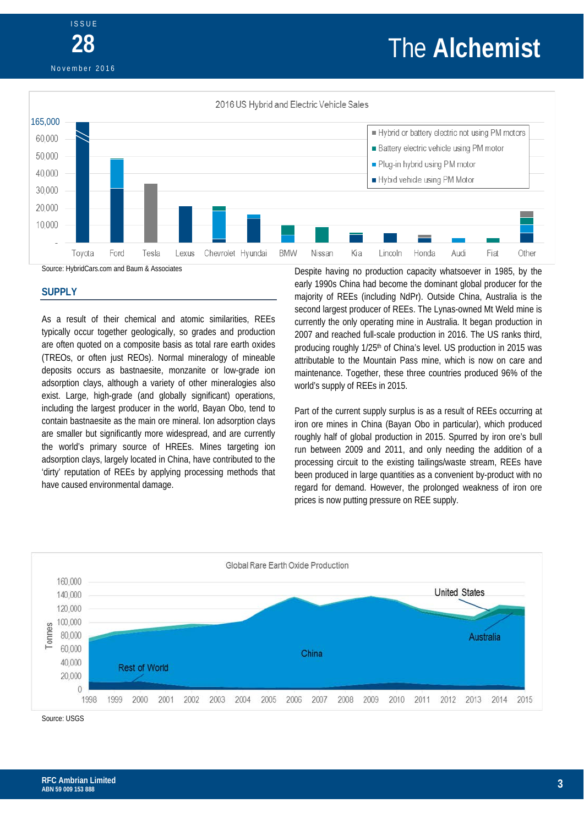## The **Alchemist**

November 2016

ISSUE

**28**



#### **SUPPLY**

As a result of their chemical and atomic similarities, REEs typically occur together geologically, so grades and production are often quoted on a composite basis as total rare earth oxides (TREOs, or often just REOs). Normal mineralogy of mineable deposits occurs as bastnaesite, monzanite or low-grade ion adsorption clays, although a variety of other mineralogies also exist. Large, high-grade (and globally significant) operations, including the largest producer in the world, Bayan Obo, tend to contain bastnaesite as the main ore mineral. Ion adsorption clays are smaller but significantly more widespread, and are currently the world's primary source of HREEs. Mines targeting ion adsorption clays, largely located in China, have contributed to the 'dirty' reputation of REEs by applying processing methods that have caused environmental damage.

Despite having no production capacity whatsoever in 1985, by the early 1990s China had become the dominant global producer for the majority of REEs (including NdPr). Outside China, Australia is the second largest producer of REEs. The Lynas-owned Mt Weld mine is currently the only operating mine in Australia. It began production in 2007 and reached full-scale production in 2016. The US ranks third, producing roughly 1/25<sup>th</sup> of China's level. US production in 2015 was attributable to the Mountain Pass mine, which is now on care and maintenance. Together, these three countries produced 96% of the world's supply of REEs in 2015.

Part of the current supply surplus is as a result of REEs occurring at iron ore mines in China (Bayan Obo in particular), which produced roughly half of global production in 2015. Spurred by iron ore's bull run between 2009 and 2011, and only needing the addition of a processing circuit to the existing tailings/waste stream, REEs have been produced in large quantities as a convenient by-product with no regard for demand. However, the prolonged weakness of iron ore prices is now putting pressure on REE supply.



Source: USGS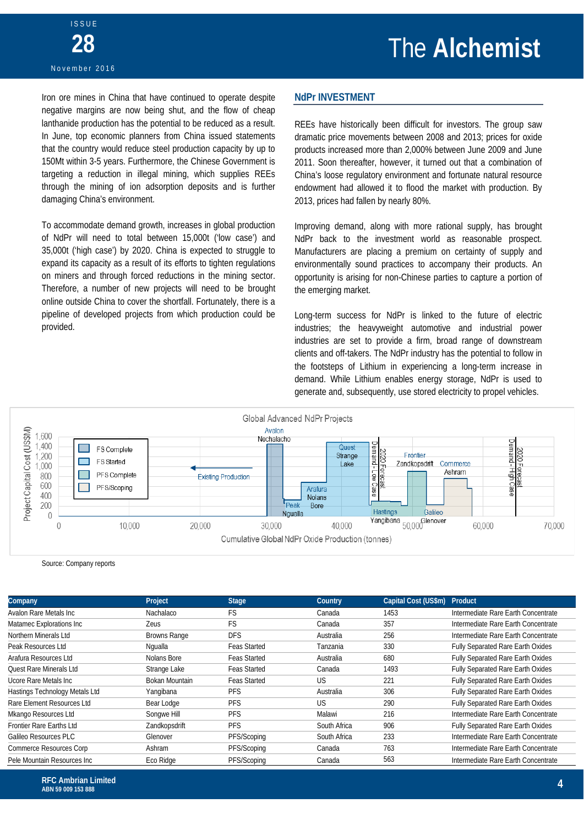Iron ore mines in China that have continued to operate despite negative margins are now being shut, and the flow of cheap lanthanide production has the potential to be reduced as a result. In June, top economic planners from China issued statements that the country would reduce steel production capacity by up to 150Mt within 3-5 years. Furthermore, the Chinese Government is targeting a reduction in illegal mining, which supplies REEs through the mining of ion adsorption deposits and is further damaging China's environment.

To accommodate demand growth, increases in global production of NdPr will need to total between 15,000t ('low case') and 35,000t ('high case') by 2020. China is expected to struggle to expand its capacity as a result of its efforts to tighten regulations on miners and through forced reductions in the mining sector. Therefore, a number of new projects will need to be brought online outside China to cover the shortfall. Fortunately, there is a pipeline of developed projects from which production could be provided.

#### **NdPr INVESTMENT**

REEs have historically been difficult for investors. The group saw dramatic price movements between 2008 and 2013; prices for oxide products increased more than 2,000% between June 2009 and June 2011. Soon thereafter, however, it turned out that a combination of China's loose regulatory environment and fortunate natural resource endowment had allowed it to flood the market with production. By 2013, prices had fallen by nearly 80%.

Improving demand, along with more rational supply, has brought NdPr back to the investment world as reasonable prospect. Manufacturers are placing a premium on certainty of supply and environmentally sound practices to accompany their products. An opportunity is arising for non-Chinese parties to capture a portion of the emerging market.

Long-term success for NdPr is linked to the future of electric industries; the heavyweight automotive and industrial power industries are set to provide a firm, broad range of downstream clients and off-takers. The NdPr industry has the potential to follow in the footsteps of Lithium in experiencing a long-term increase in demand. While Lithium enables energy storage, NdPr is used to generate and, subsequently, use stored electricity to propel vehicles.



Source: Company reports

| <b>Company</b>                 | Project             | <b>Stage</b>        | <b>Country</b> | Capital Cost (US\$m) | Product                             |
|--------------------------------|---------------------|---------------------|----------------|----------------------|-------------------------------------|
| Avalon Rare Metals Inc         | Nachalaco           | FS                  | Canada         | 1453                 | Intermediate Rare Earth Concentrate |
| Matamec Explorations Inc       | <b>Zeus</b>         | FS                  | Canada         | 357                  | Intermediate Rare Earth Concentrate |
| Northern Minerals Ltd          | <b>Browns Range</b> | <b>DFS</b>          | Australia      | 256                  | Intermediate Rare Earth Concentrate |
| Peak Resources Ltd             | Ngualla             | <b>Feas Started</b> | Tanzania       | 330                  | Fully Separated Rare Earth Oxides   |
| Arafura Resources Ltd          | Nolans Bore         | <b>Feas Started</b> | Australia      | 680                  | Fully Separated Rare Earth Oxides   |
| <b>Ouest Rare Minerals Ltd</b> | Strange Lake        | <b>Feas Started</b> | Canada         | 1493                 | Fully Separated Rare Earth Oxides   |
| Ucore Rare Metals Inc          | Bokan Mountain      | <b>Feas Started</b> | <b>US</b>      | 221                  | Fully Separated Rare Earth Oxides   |
| Hastings Technology Metals Ltd | Yangibana           | <b>PFS</b>          | Australia      | 306                  | Fully Separated Rare Earth Oxides   |
| Rare Element Resources Ltd     | Bear Lodge          | <b>PFS</b>          | <b>US</b>      | 290                  | Fully Separated Rare Earth Oxides   |
| Mkango Resources Ltd           | Songwe Hill         | <b>PFS</b>          | Malawi         | 216                  | Intermediate Rare Earth Concentrate |
| Frontier Rare Earths Ltd       | Zandkopsdrift       | <b>PFS</b>          | South Africa   | 906                  | Fully Separated Rare Earth Oxides   |
| Galileo Resources PLC          | Glenover            | PFS/Scoping         | South Africa   | 233                  | Intermediate Rare Earth Concentrate |
| <b>Commerce Resources Corp</b> | Ashram              | PFS/Scoping         | Canada         | 763                  | Intermediate Rare Earth Concentrate |
| Pele Mountain Resources Inc    | Eco Ridge           | PFS/Scoping         | Canada         | 563                  | Intermediate Rare Earth Concentrate |